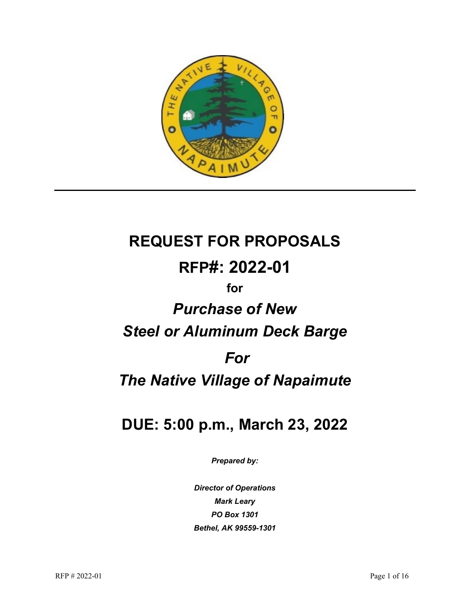

# **REQUEST FOR PROPOSALS RFP#: 2022-01 for** *Purchase of New Steel or Aluminum Deck Barge*

# *For*

# *The Native Village of Napaimute*

# **DUE: 5:00 p.m., March 23, 2022**

*Prepared by:*

*Director of Operations Mark Leary PO Box 1301 Bethel, AK 99559-1301*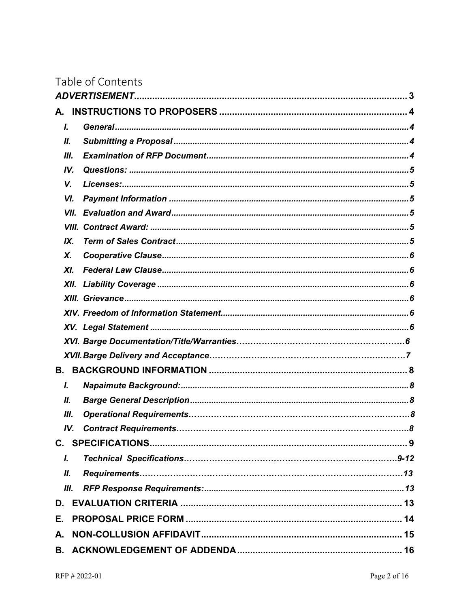|    |      | Table of Contents |  |
|----|------|-------------------|--|
|    |      |                   |  |
| А. |      |                   |  |
| L  |      |                   |  |
| Ш. |      |                   |  |
|    | Ш.   |                   |  |
|    | IV.  |                   |  |
|    | V.   |                   |  |
|    | VI.  |                   |  |
|    | VII. |                   |  |
|    |      |                   |  |
|    | IX.  |                   |  |
|    | Х.   |                   |  |
|    | XI.  |                   |  |
|    | XII. |                   |  |
|    |      |                   |  |
|    |      |                   |  |
|    |      |                   |  |
|    |      |                   |  |
|    |      |                   |  |
| В. |      |                   |  |
| I. |      |                   |  |
|    | Ш.   |                   |  |
|    | Ш.   |                   |  |
|    |      |                   |  |
|    |      |                   |  |
| L  |      |                   |  |
|    | Ш.   |                   |  |
|    | Ш.   |                   |  |
|    |      |                   |  |
| Е. |      |                   |  |
| А. |      |                   |  |
|    |      |                   |  |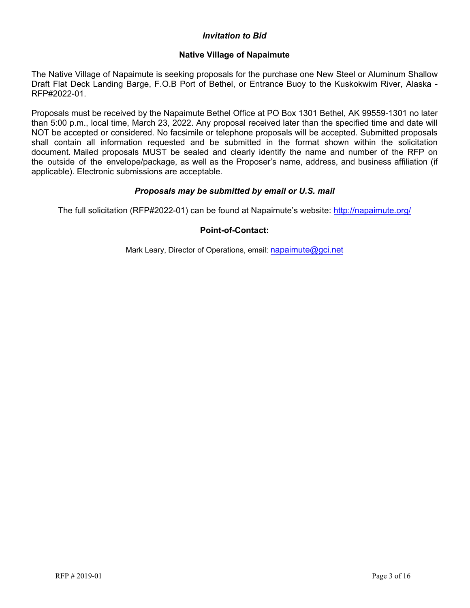# *Invitation to Bid*

# **Native Village of Napaimute**

<span id="page-2-0"></span>The Native Village of Napaimute is seeking proposals for the purchase one New Steel or Aluminum Shallow Draft Flat Deck Landing Barge, F.O.B Port of Bethel, or Entrance Buoy to the Kuskokwim River, Alaska - RFP#2022-01.

Proposals must be received by the Napaimute Bethel Office at PO Box 1301 Bethel, AK 99559-1301 no later than 5:00 p.m., local time, March 23, 2022. Any proposal received later than the specified time and date will NOT be accepted or considered. No facsimile or telephone proposals will be accepted. Submitted proposals shall contain all information requested and be submitted in the format shown within the solicitation document. Mailed proposals MUST be sealed and clearly identify the name and number of the RFP on the outside of the envelope/package, as well as the Proposer's name, address, and business affiliation (if applicable). Electronic submissions are acceptable.

# *Proposals may be submitted by email or U.S. ma[il](http://napaimute.org/)*

The full solicitation (RFP#2022-01) can be found at Napaimute's website: http://napaimute.org/

# **Point-of-Contact[:](mailto:napaimute@gci.net)**

<span id="page-2-1"></span>Mark Leary, Director of Operations, email: napaimute@gci.net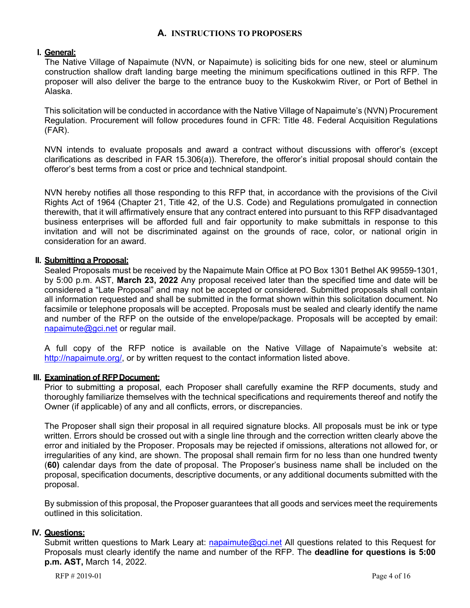# **A. INSTRUCTIONS TO PROPOSERS**

#### <span id="page-3-0"></span>**I. General:**

The Native Village of Napaimute (NVN, or Napaimute) is soliciting bids for one new, steel or aluminum construction shallow draft landing barge meeting the minimum specifications outlined in this RFP. The proposer will also deliver the barge to the entrance buoy to the Kuskokwim River, or Port of Bethel in Alaska.

This solicitation will be conducted in accordance with the Native Village of Napaimute's (NVN) Procurement Regulation. Procurement will follow procedures found in CFR: Title 48. Federal Acquisition Regulations (FAR).

NVN intends to evaluate proposals and award a contract without discussions with offeror's (except clarifications as described in FAR 15.306(a)). Therefore, the offeror's initial proposal should contain the offeror's best terms from a cost or price and technical standpoint.

NVN hereby notifies all those responding to this RFP that, in accordance with the provisions of the Civil Rights Act of 1964 (Chapter 21, Title 42, of the U.S. Code) and Regulations promulgated in connection therewith, that it will affirmatively ensure that any contract entered into pursuant to this RFP disadvantaged business enterprises will be afforded full and fair opportunity to make submittals in response to this invitation and will not be discriminated against on the grounds of race, color, or national origin in consideration for an award.

#### <span id="page-3-1"></span>**II. Submitting a Proposal:**

Sealed Proposals must be received by the Napaimute Main Office at PO Box 1301 Bethel AK 99559-1301, by 5:00 p.m. AST, **March 23, 2022** Any proposal received later than the specified time and date will be considered a "Late Proposal" and may not be accepted or considered. Submitted proposals shall contain all information requested and shall be submitted in the format shown within this solicitation document. No facsimile or telephone proposals will be accepted. Proposals must be sealed and clearly identify the name and number of the RFP on the outside of the envelope/package. Proposals will be accepted by email: [napaimute@gci.net](mailto:napaimute@gci.net) or regular mail.

A full copy of the RFP notice is available on the Native Village of Napaimute's website at: [http://napaimute.org/,](http://napaimute.org/) or by written request to the contact information listed above.

# <span id="page-3-2"></span>**III. Examination of RFP Document:**

Prior to submitting a proposal, each Proposer shall carefully examine the RFP documents, study and thoroughly familiarize themselves with the technical specifications and requirements thereof and notify the Owner (if applicable) of any and all conflicts, errors, or discrepancies.

The Proposer shall sign their proposal in all required signature blocks. All proposals must be ink or type written. Errors should be crossed out with a single line through and the correction written clearly above the error and initialed by the Proposer. Proposals may be rejected if omissions, alterations not allowed for, or irregularities of any kind, are shown. The proposal shall remain firm for no less than one hundred twenty (**60)** calendar days from the date of proposal. The Proposer's business name shall be included on the proposal, specification documents, descriptive documents, or any additional documents submitted with the proposal.

By submission of this proposal, the Proposer guarantees that all goods and services meet the requirements outlined in this solicitation.

# <span id="page-3-3"></span>**IV. Questions:**

Submit written questions to Mark Leary at: [napaimute@gci.net](mailto:napaimute@gci.net) All questions related to this Request for Proposals must clearly identify the name and number of the RFP. The **deadline for questions is 5:00 p.m. AST,** March 14, 2022.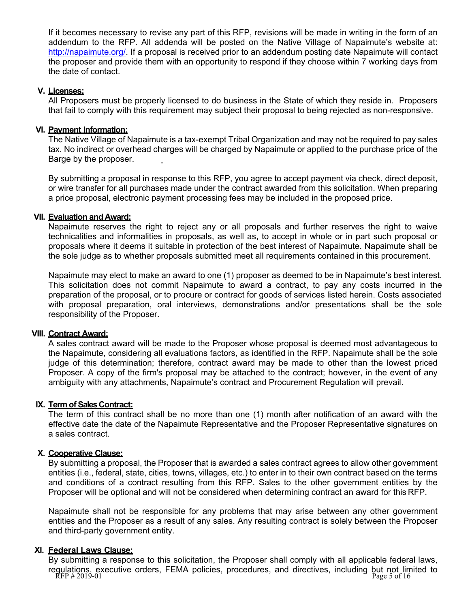If it becomes necessary to revise any part of this RFP, revisions will be made in writing in the form of an addendum to the RFP. All addenda will be posted on the Native Village of Napaimute's website at: [http://napaimute.org/.](http://napaimute.org/) If a proposal is received prior to an addendum posting date Napaimute will contact the proposer and provide them with an opportunity to respond if they choose within 7 working days from the date of contact.

# <span id="page-4-0"></span>**V. Licenses:**

All Proposers must be properly licensed to do business in the State of which they reside in. Proposers that fail to comply with this requirement may subject their proposal to being rejected as non-responsive.

# <span id="page-4-1"></span>**VI. Payment Information:**

The Native Village of Napaimute is a tax-exempt Tribal Organization and may not be required to pay sales tax. No indirect or overhead charges will be charged by Napaimute or applied to the purchase price of the Barge by the proposer.

By submitting a proposal in response to this RFP, you agree to accept payment via check, direct deposit, or wire transfer for all purchases made under the contract awarded from this solicitation. When preparing a price proposal, electronic payment processing fees may be included in the proposed price.

# <span id="page-4-2"></span>**VII. Evaluation and Award:**

Napaimute reserves the right to reject any or all proposals and further reserves the right to waive technicalities and informalities in proposals, as well as, to accept in whole or in part such proposal or proposals where it deems it suitable in protection of the best interest of Napaimute. Napaimute shall be the sole judge as to whether proposals submitted meet all requirements contained in this procurement.

Napaimute may elect to make an award to one (1) proposer as deemed to be in Napaimute's best interest. This solicitation does not commit Napaimute to award a contract, to pay any costs incurred in the preparation of the proposal, or to procure or contract for goods of services listed herein. Costs associated with proposal preparation, oral interviews, demonstrations and/or presentations shall be the sole responsibility of the Proposer.

# <span id="page-4-3"></span>**VIII. Contract Award:**

A sales contract award will be made to the Proposer whose proposal is deemed most advantageous to the Napaimute, considering all evaluations factors, as identified in the RFP. Napaimute shall be the sole judge of this determination; therefore, contract award may be made to other than the lowest priced Proposer. A copy of the firm's proposal may be attached to the contract; however, in the event of any ambiguity with any attachments, Napaimute's contract and Procurement Regulation will prevail.

# <span id="page-4-4"></span>**IX. Term of Sales Contract:**

The term of this contract shall be no more than one (1) month after notification of an award with the effective date the date of the Napaimute Representative and the Proposer Representative signatures on a sales contract.

# <span id="page-4-5"></span>**X. Cooperative Clause:**

By submitting a proposal, the Proposer that is awarded a sales contract agrees to allow other government entities (i.e., federal, state, cities, towns, villages, etc.) to enter in to their own contract based on the terms and conditions of a contract resulting from this RFP. Sales to the other government entities by the Proposer will be optional and will not be considered when determining contract an award for this RFP.

Napaimute shall not be responsible for any problems that may arise between any other government entities and the Proposer as a result of any sales. Any resulting contract is solely between the Proposer and third-party government entity.

# <span id="page-4-6"></span>**XI. Federal Laws Clause:**

regulations, executive orders, FEMA policies, procedures, and directives, including but not limited to<br>RFP # 2019-01 By submitting a response to this solicitation, the Proposer shall comply with all applicable federal laws,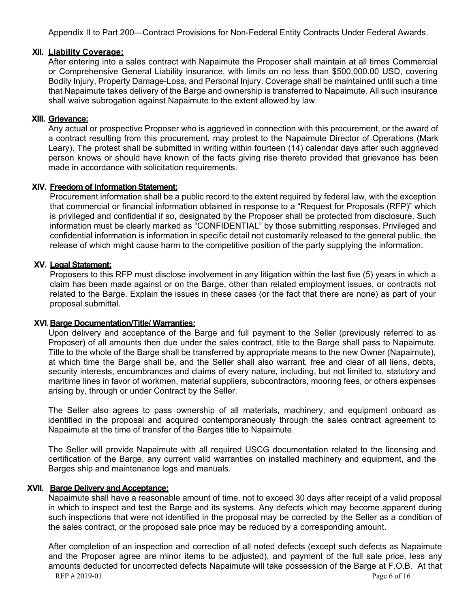Appendix II to Part 200—Contract Provisions for Non-Federal Entity Contracts Under Federal Awards.

# <span id="page-5-0"></span>**XII. Liability Coverage:**

After entering into a sales contract with Napaimute the Proposer shall maintain at all times Commercial or Comprehensive General Liability insurance, with limits on no less than \$500,000.00 USD, covering Bodily Injury, Property Damage-Loss, and Personal Injury. Coverage shall be maintained until such a time that Napaimute takes delivery of the Barge and ownership is transferred to Napaimute. All such insurance shall waive subrogation against Napaimute to the extent allowed by law.

# <span id="page-5-1"></span>**XIII. Grievance:**

Any actual or prospective Proposer who is aggrieved in connection with this procurement, or the award of a contract resulting from this procurement, may protest to the Napaimute Director of Operations (Mark Leary). The protest shall be submitted in writing within fourteen (14) calendar days after such aggrieved person knows or should have known of the facts giving rise thereto provided that grievance has been made in accordance with solicitation requirements.

# <span id="page-5-2"></span>**XIV. Freedom of InformationStatement:**

Procurement information shall be a public record to the extent required by federal law, with the exception that commercial or financial information obtained in response to a "Request for Proposals (RFP)" which is privileged and confidential if so, designated by the Proposer shall be protected from disclosure. Such information must be clearly marked as "CONFIDENTIAL" by those submitting responses. Privileged and confidential information is information in specific detail not customarily released to the general public, the release of which might cause harm to the competitive position of the party supplying the information.

# <span id="page-5-3"></span>**XV. Legal Statement:**

Proposers to this RFP must disclose involvement in any litigation within the last five (5) years in which a claim has been made against or on the Barge, other than related employment issues, or contracts not related to the Barge. Explain the issues in these cases (or the fact that there are none) as part of your proposal submittal.

# **XVI.Barge Documentation/Title/ Warranties:**

Upon delivery and acceptance of the Barge and full payment to the Seller (previously referred to as Proposer) of all amounts then due under the sales contract, title to the Barge shall pass to Napaimute. Title to the whole of the Barge shall be transferred by appropriate means to the new Owner (Napaimute), at which time the Barge shall be, and the Seller shall also warrant, free and clear of all liens, debts, security interests, encumbrances and claims of every nature, including, but not limited to, statutory and maritime lines in favor of workmen, material suppliers, subcontractors, mooring fees, or others expenses arising by, through or under Contract by the Seller.

The Seller also agrees to pass ownership of all materials, machinery, and equipment onboard as identified in the proposal and acquired contemporaneously through the sales contract agreement to Napaimute at the time of transfer of the Barges title to Napaimute.

The Seller will provide Napaimute with all required USCG documentation related to the licensing and certification of the Barge, any current valid warranties on installed machinery and equipment, and the Barges ship and maintenance logs and manuals.

# **XVII. Barge Delivery and Acceptance:**

Napaimute shall have a reasonable amount of time, not to exceed 30 days after receipt of a valid proposal in which to inspect and test the Barge and its systems. Any defects which may become apparent during such inspections that were not identified in the proposal may be corrected by the Seller as a condition of the sales contract, or the proposed sale price may be reduced by a corresponding amount.

RFP  $\#2019-01$  Page 6 of 16 After completion of an inspection and correction of all noted defects (except such defects as Napaimute and the Proposer agree are minor items to be adjusted), and payment of the full sale price, less any amounts deducted for uncorrected defects Napaimute will take possession of the Barge at F.O.B. At that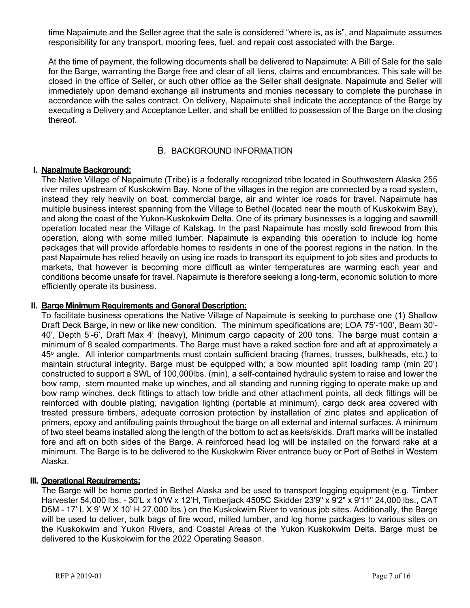time Napaimute and the Seller agree that the sale is considered "where is, as is", and Napaimute assumes responsibility for any transport, mooring fees, fuel, and repair cost associated with the Barge.

<span id="page-6-0"></span>At the time of payment, the following documents shall be delivered to Napaimute: A Bill of Sale for the sale for the Barge, warranting the Barge free and clear of all liens, claims and encumbrances. This sale will be closed in the office of Seller, or such other office as the Seller shall designate. Napaimute and Seller will immediately upon demand exchange all instruments and monies necessary to complete the purchase in accordance with the sales contract. On delivery, Napaimute shall indicate the acceptance of the Barge by executing a Delivery and Acceptance Letter, and shall be entitled to possession of the Barge on the closing thereof.

# B. BACKGROUND INFORMATION

#### <span id="page-6-1"></span>**I. Napaimute Background:**

The Native Village of Napaimute (Tribe) is a federally recognized tribe located in Southwestern Alaska 255 river miles upstream of Kuskokwim Bay. None of the villages in the region are connected by a road system, instead they rely heavily on boat, commercial barge, air and winter ice roads for travel. Napaimute has multiple business interest spanning from the Village to Bethel (located near the mouth of Kuskokwim Bay), and along the coast of the Yukon-Kuskokwim Delta. One of its primary businesses is a logging and sawmill operation located near the Village of Kalskag. In the past Napaimute has mostly sold firewood from this operation, along with some milled lumber. Napaimute is expanding this operation to include log home packages that will provide affordable homes to residents in one of the poorest regions in the nation. In the past Napaimute has relied heavily on using ice roads to transport its equipment to job sites and products to markets, that however is becoming more difficult as winter temperatures are warming each year and conditions become unsafe for travel. Napaimute is therefore seeking a long-term, economic solution to more efficiently operate its business.

#### **II. Barge Minimum Requirements and General Description:**

To facilitate business operations the Native Village of Napaimute is seeking to purchase one (1) Shallow Draft Deck Barge, in new or like new condition. The minimum specifications are; LOA 75'-100', Beam 30'- 40', Depth 5'-6', Draft Max 4' (heavy), Minimum cargo capacity of 200 tons. The barge must contain a minimum of 8 sealed compartments. The Barge must have a raked section fore and aft at approximately a 45° angle. All interior compartments must contain sufficient bracing (frames, trusses, bulkheads, etc.) to maintain structural integrity. Barge must be equipped with; a bow mounted split loading ramp (min 20') constructed to support a SWL of 100,000lbs. (min), a self-contained hydraulic system to raise and lower the bow ramp, stern mounted make up winches, and all standing and running rigging to operate make up and bow ramp winches, deck fittings to attach tow bridle and other attachment points, all deck fittings will be reinforced with double plating, navigation lighting (portable at minimum), cargo deck area covered with treated pressure timbers, adequate corrosion protection by installation of zinc plates and application of primers, epoxy and antifouling paints throughout the barge on all external and internal surfaces. A minimum of two steel beams installed along the length of the bottom to act as keels/skids. Draft marks will be installed fore and aft on both sides of the Barge. A reinforced head log will be installed on the forward rake at a minimum. The Barge is to be delivered to the Kuskokwim River entrance buoy or Port of Bethel in Western Alaska.

# **III. Operational Requirements:**

The Barge will be home ported in Bethel Alaska and be used to transport logging equipment (e.g. Timber Harvester 54,000 lbs. - 30'L x 10'W x 12'H, Timberjack 4505C Skidder 23'9" x 9'2" x 9'11" 24,000 lbs., CAT D5M - 17' L X 9' W X 10' H 27,000 lbs.) on the Kuskokwim River to various job sites. Additionally, the Barge will be used to deliver, bulk bags of fire wood, milled lumber, and log home packages to various sites on the Kuskokwim and Yukon Rivers, and Coastal Areas of the Yukon Kuskokwim Delta. Barge must be delivered to the Kuskokwim for the 2022 Operating Season.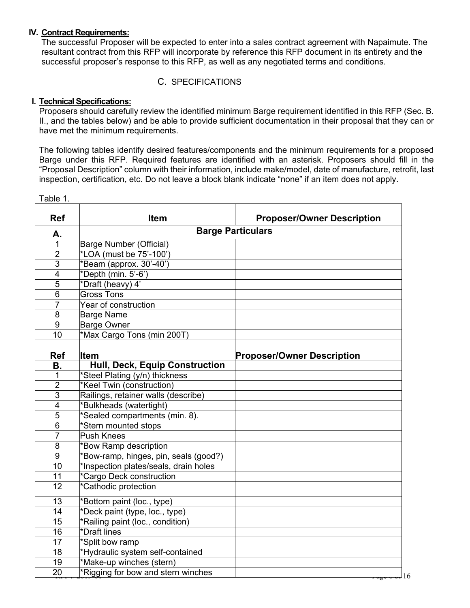#### **IV. Contract Requirements:**

The successful Proposer will be expected to enter into a sales contract agreement with Napaimute. The resultant contract from this RFP will incorporate by reference this RFP document in its entirety and the successful proposer's response to this RFP, as well as any negotiated terms and conditions.

# <span id="page-7-0"></span>C. SPECIFICATIONS

# <span id="page-7-1"></span>**I. Technical Specifications:**

Proposers should carefully review the identified minimum Barge requirement identified in this RFP (Sec. B. II., and the tables below) and be able to provide sufficient documentation in their proposal that they can or have met the minimum requirements.

The following tables identify desired features/components and the minimum requirements for a proposed Barge under this RFP. Required features are identified with an asterisk. Proposers should fill in the "Proposal Description" column with their information, include make/model, date of manufacture, retrofit, last inspection, certification, etc. Do not leave a block blank indicate "none" if an item does not apply.

20 \*Rigging for bow and stern winches 20 \* and the stead of 16 **Ref**  $\vert$  **Item Item Proposer/Owner** Description **A. Barge Particulars**  Barge Number (Official) \*LOA (must be 75'-100') \*Beam (approx. 30'-40') \*Depth (min. 5'-6') \*Draft (heavy) 4' Gross Tons Year of construction Barge Name Barge Owner 10 \*Max Cargo Tons (min 200T) **Ref Item Proposer/Owner Description B. Hull, Deck, Equip Construction**<br>1 \*Steel Plating (y/n) thickness 1 \*Steel Plating (y/n) thickness<br>2 \*Keel Twin (construction) \*Keel Twin (construction) Railings, retainer walls (describe) 4 \*Bulkheads (watertight)<br>5 \*Sealed compartments ( \*Sealed compartments (min. 8). \*Stern mounted stops **Push Knees** 8 \*Bow Ramp description \*Bow-ramp, hinges, pin, seals (good?) \*Inspection plates/seals, drain holes \*Cargo Deck construction \*Cathodic protection \*Bottom paint (loc., type) \*Deck paint (type, loc., type) \*Railing paint (loc., condition) \*Draft lines **\*Split bow ramp**  \*Hydraulic system self-contained \*Make-up winches (stern)

Table 1.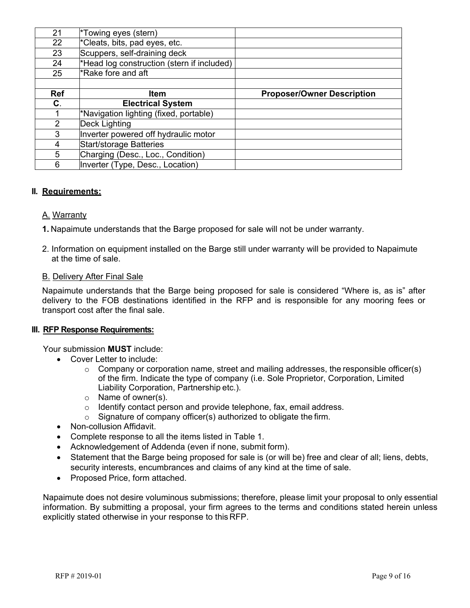| 21         | $\overline{\text{F}}$ owing eyes (stern)   |                                   |
|------------|--------------------------------------------|-----------------------------------|
| 22         | *Cleats, bits, pad eyes, etc.              |                                   |
| 23         | Scuppers, self-draining deck               |                                   |
| 24         | *Head log construction (stern if included) |                                   |
| 25         | *Rake fore and aft                         |                                   |
|            |                                            |                                   |
| <b>Ref</b> | Item                                       | <b>Proposer/Owner Description</b> |
|            |                                            |                                   |
| C.         | <b>Electrical System</b>                   |                                   |
|            | *Navigation lighting (fixed, portable)     |                                   |
| 2          | Deck Lighting                              |                                   |
| 3          | Inverter powered off hydraulic motor       |                                   |
| 4          | <b>Start/storage Batteries</b>             |                                   |
| 5          | Charging (Desc., Loc., Condition)          |                                   |

# **II. Requirements:**

# A. Warranty

- **1.** Napaimute understands that the Barge proposed for sale will not be under warranty.
- 2. Information on equipment installed on the Barge still under warranty will be provided to Napaimute at the time of sale.

# B. Delivery After Final Sale

Napaimute understands that the Barge being proposed for sale is considered "Where is, as is" after delivery to the FOB destinations identified in the RFP and is responsible for any mooring fees or transport cost after the final sale.

# <span id="page-8-0"></span>**III. RFP Response Requirements:**

Your submission **MUST** include:

- Cover Letter to include:
	- $\circ$  Company or corporation name, street and mailing addresses, the responsible officer(s) of the firm. Indicate the type of company (i.e. Sole Proprietor, Corporation, Limited Liability Corporation, Partnership etc.).
	- o Name of owner(s).
	- $\circ$  Identify contact person and provide telephone, fax, email address.
	- $\circ$  Signature of company officer(s) authorized to obligate the firm.
- Non-collusion Affidavit.
- Complete response to all the items listed in Table 1.
- Acknowledgement of Addenda (even if none, submit form).
- Statement that the Barge being proposed for sale is (or will be) free and clear of all; liens, debts, security interests, encumbrances and claims of any kind at the time of sale.
- Proposed Price, form attached.

Napaimute does not desire voluminous submissions; therefore, please limit your proposal to only essential information. By submitting a proposal, your firm agrees to the terms and conditions stated herein unless explicitly stated otherwise in your response to this RFP.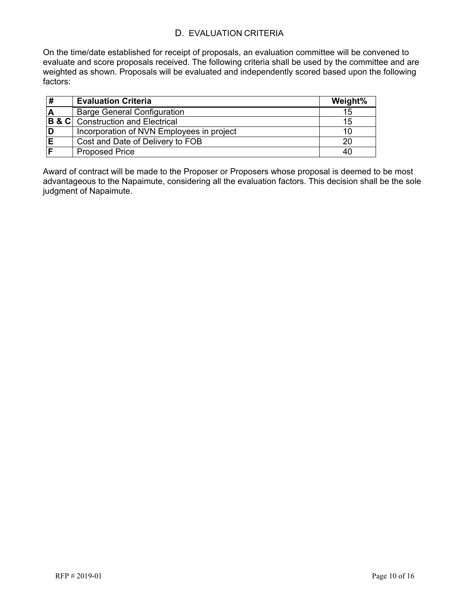# D. EVALUATION CRITERIA

<span id="page-9-0"></span>On the time/date established for receipt of proposals, an evaluation committee will be convened to evaluate and score proposals received. The following criteria shall be used by the committee and are weighted as shown. Proposals will be evaluated and independently scored based upon the following factors:

|             | <b>Evaluation Criteria</b>                   | Weight% |
|-------------|----------------------------------------------|---------|
| $\mathbf A$ | <b>Barge General Configuration</b>           | 15      |
|             | <b>B &amp; C</b> Construction and Electrical | 15      |
|             | Incorporation of NVN Employees in project    | 10      |
|             | Cost and Date of Delivery to FOB             | 20      |
|             | <b>Proposed Price</b>                        | 40      |

Award of contract will be made to the Proposer or Proposers whose proposal is deemed to be most advantageous to the Napaimute, considering all the evaluation factors. This decision shall be the sole judgment of Napaimute.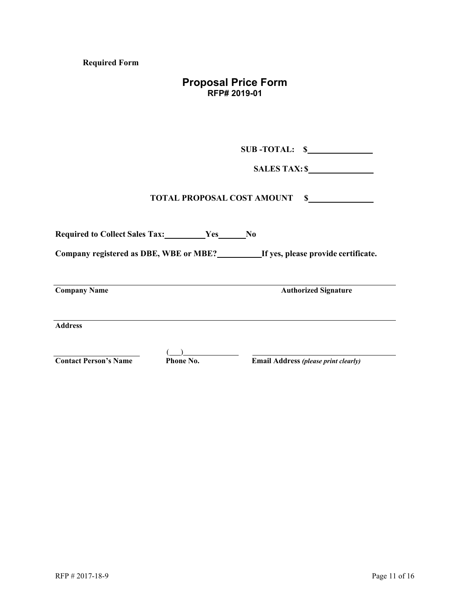**Required Form**

# **Proposal Price Form RFP# 2019-01**

**SUB -TOTAL: \$**

**SALES TAX: \$**

# **TOTAL PROPOSAL COST AMOUNT \$**

| <b>Required to Collect Sales Tax:</b><br>Yes<br>N <sub>0</sub> |                  |                                             |  |  |  |  |
|----------------------------------------------------------------|------------------|---------------------------------------------|--|--|--|--|
| Company registered as DBE, WBE or MBE?                         |                  | If yes, please provide certificate.         |  |  |  |  |
| <b>Company Name</b>                                            |                  | <b>Authorized Signature</b>                 |  |  |  |  |
| <b>Address</b>                                                 |                  |                                             |  |  |  |  |
| <b>Contact Person's Name</b>                                   | <b>Phone No.</b> | <b>Email Address (please print clearly)</b> |  |  |  |  |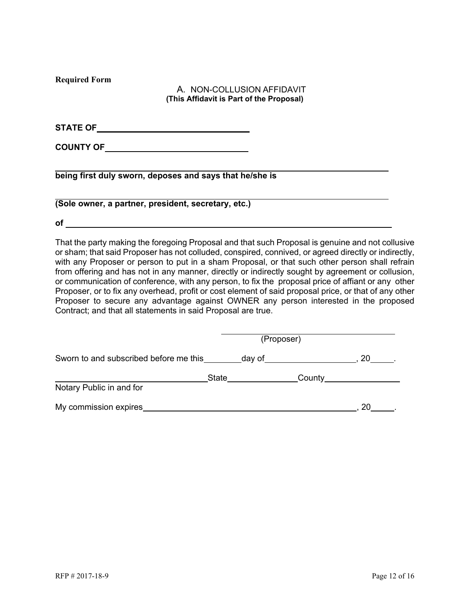**Required Form**

# <span id="page-11-0"></span>A. NON-COLLUSION AFFIDAVIT **(This Affidavit is Part of the Proposal)**

**STATE OF**

**COUNTY OF**

**being first duly sworn, deposes and says that he/she is**

**(Sole owner, a partner, president, secretary, etc.)**

**of**

That the party making the foregoing Proposal and that such Proposal is genuine and not collusive or sham; that said Proposer has not colluded, conspired, connived, or agreed directly or indirectly, with any Proposer or person to put in a sham Proposal, or that such other person shall refrain from offering and has not in any manner, directly or indirectly sought by agreement or collusion, or communication of conference, with any person, to fix the proposal price of affiant or any other Proposer, or to fix any overhead, profit or cost element of said proposal price, or that of any other Proposer to secure any advantage against OWNER any person interested in the proposed Contract; and that all statements in said Proposal are true.

|                                          | (Proposer) |        |
|------------------------------------------|------------|--------|
| Sworn to and subscribed before me this   | day of     | 20     |
| <b>State</b><br>Notary Public in and for |            | County |
| My commission expires                    |            | 20     |